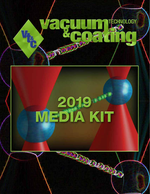

F

ECHNOLOGY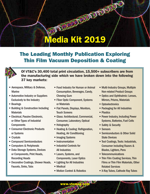# Media Kit 2019

**DECOUVERANTS** 

# The Leading Monthly Publication Exploring Thin Film Vacuum Deposition & Coating



Of *VT&C*'s 30,400 total print circulation, 15,500+ subscribers are from the manufacturing side which we have broken down into the following 37 key markets:

- Aerospace, Military & Defense, **Marine**
- Automotive Industry or Suppliers Exclusively to the Industry
- Bearings
- Building & Construction Including **Materials**
- Electrical, Passive Electronic, or Other Types of Industrial **Components**
- Consumer Electronic Products or Systems
- • Crystals
- Compound Semiconductors
- Computers & Peripherals
- Data Storage Systems, Devices or Components, Print Heads, Recording Heads
- Decorative Coatings, Shower Heads, Faucets, Sinks, Tubs
- Food Industry for Human or Animal Consumption, Beverages, Candy, Chewing Gum
- Fiber Optic Component, Systems or Materials
- Flat Panels, Displays, Monitors, Touch Screens
- Glass: Architectural, Commercial, Consumer, Laboratory, Optical
- Holography
- Heating & Cooling: Refrigeration, Heating, Air Conditioning
- Imaging Systems
- Instrumentation
- Industrial Controls for All Industries
- Lasers, Systems, and Components, Laser Optics
- Lighting for All Industries
- Medical
- Motion Control & Robotics

www.vtcmag.com

- Multi-Industry Groups, Multiple Non-related Product Groups
- Optics and Ophthalmic: Lenses, Mirrors, Prisms, Materials
- Optoelectronics
- Packaging for All Industries
- Plastics
- Power Industry, Including Power Systems, Batteries, Fuel Cells
- Safety & Security
- Sensors
- Semiconductors & Other Solid State Devices
- Tool Coatings, Tools: Industrials, Consumer including Razors & Blades, Lighters, Pens
- Telecommunications
- Thin Film Coating Services, Thin Films or Thin Film Materials, Other Related Services
- X-Ray Tubes, Cathode Ray Tubes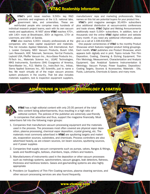### *VT&C* Readership Information



*VT&C*'s print issue reaches 9,500+ key R&D scientists and engineers at the U.S. national labs, government labs, and universities. These are well-funded people who comprise many hundreds of individual research project teams, each with its own vacuum

needs and applications. At NIST alone *VT&C* reaches 470+, with 140+ more at Brookhaven, 300+ at Argonne, 170+ at Livermore, and 160+ at Sandia.

*VT&C* also reaches 4,000+ industry professionals at the companies who make capital equipment and materials. This list includes Applied Materials, AJA International, Kurt J. Lesker Company, MDC Vacuum Products, Busch USA, Lam Research, KDF, Telemark, Semicore, Nor-Cal Products, Leybold USA, Pfeiffer Vacuum Inc., Accu-Glass Products Inc., Fil-Tech Inc., Materials Science Inc., ULVAC Technologies, MKS Instruments, Sumitomo (SHI) Cryogenics of America, Nano-Master Inc., R.D. Mathis Co., InstruTech Inc., Intlvac, Sierra Applied Sciences Inc., XEI Scientific, just to name a few. We reach virtually all of the major vacuum process system producers in the country. That list also includes materials suppliers, test & inspection equipment suppliers, manufacturers' reps and marketing professionals. Many names on this list are potential buyers for your product line.

*VT&C'*s print magazine averages 30,400+ subscribers plus additional distribution at vacuum-centric conferences and trade shows. *VT&C* Digital and Weblog Announcements additionally reach 5,000+ subscribers. In addition, tens of thousands visit the online *VT&C* digital edition and website every month. If you need any additional information, please give us a call at 1-336-432-9627.

One popular cornerstones of *VT&C* is the monthly Product Showcase which features targeted product listing groupings. Each month, *VT&C* publishes one Product Showcase, which appears both digitally and in print. Topics include Thin Film Deposition, Coating, Cleaning & Etching Equipment; Thin Film Metrology, Measurement, Characterization and Analysis Equipment; Gas Analytical Systems Instrumentation & Metrology; Vacuum Pumps; Power Supplies; Deposition/ Coating Targets, Sources & Accessories; Materials - Oils, Fluids, Lubricants, Chemicals & Gases; and many more.





*VT&C* has a high editorial content with only 25-35 percent of the total folio content being advertisements, thus resulting in a high ratio of editorial content. The policies of the publisher are extremely user-friendly to companies that advertise and thus, support the magazine financially. Most

advertisers fall into the following major groups:

- 1. Companies that manufacture vacuum processing equipment and the materials used in the process. The processes most often covered are physical vapor deposition, plasma processing, chemical vapor deposition, crystal growing, etc. The materials most commonly advertised in *VT&C* are sputtering targets and materials, evaporation sources, substrates, and chemicals. Process controllers are also advertised heavily, as are e-beam sources, ion beam sources, sputtering sources, and rf power supplies
- 2. Companies that supply vacuum components such as pumps, valves, flanges & fittings, seals and feedthroughs, bellows, chambers, traps, chillers and heaters.
- 3. Manufactureers of instruments used in the deposition or other vacuum processes such as metrology systems, spectrometers, vacuum gauges, leak detectors, flatness, thickness and hardness testers. Gases and gas-handling systems are also highly appropriate
- 4. Providers (or Suppliers) of Thin Film Coating services, plasma cleaning services, and other vacuum processing services are also found frequently.

www.vtc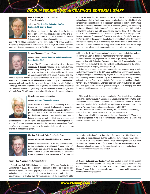## *Vacuum Technology & Coating's Editorial Staff*



Peter M Martin, Ph.D., *Executive Editor & Senior Technologist*

#### *Columns & Blog:* Thin Film Technology, Surface Engineering & Back-to-Basics

Dr. Martin has been the Executive Editor for Vacuum Technology and Coating magazine since 2005, and the Thin Film Editor since 2000. He is currently an Emeritus Fellow at Pacific Northwest National Laboratory, and retired

from PNNL in 2008 as a Laboratory Fellow. He worked for PNNL for over twenty nine years where he specialized in developing thin film coatings for energy, biomedical, space and defense applications. He is a SVC Mentor, Past President and Program



#### Terrence Thompson, *Technical Editor*

*Column & Blog:* Product Showcase and Observations & Opportunities Blog

Terrence (Terry) Thompson is a technical editor for *Vacuum Technology & Coating* magazine. He is a microelectronics manufacturing industry veteran with more than three decades of experience in technology publishing. He served as executive editor of *Wafer & Device Packaging and Inter-*

*connect* magazine. and was the editor of *Chip Scale Review* and *HDI—High Density Interconnect* magazines that all addressed semiconductor chip and wafer-level test, assembly and packaging. He has also held the top editorial post with *Solid State Technology* and *MicroLithography World* magazines. He was the editorial director for *Microelectronic Manufacturing & Testing* (later *Microelectronic Manufacturing Technology*) and *Hybrid Circuit Technology* magazines. He also was the founder, editor and

Chair. He holds over forty five patents in the field of thin films and has won numerous national awards in thin film technology and microfabrication. He edited the totally revised Third Edition of Handbook of Deposition Technologies for Films and Coatings (Elsevier) and recently authored Introduction to Surface Engineering and Functionally Engineered Materials (Wiley/Scrivener). Peter has written over 500 technical publications and given over 200 presentations, has won three R&D 100 Awards for his work in microfabrication and barrier coatings for flat panel displays, has two Federal Laboratory Consortium (FLC) awards, was selected Battelle Technology of the Year (2003) for his work with the photolytic artificial lung, voted Distinguished Inventor, and Battelle 2005 Inventor of the Year. He also teaches short courses on Photovoltaics, Smart Materials and Energy Materials and Applications. Peter's Blogs cover the basic science and technology of vacuum deposition processes.

publisher of the *Display Technology Report* newsletter on advanced displays and related technologies. Earlier, Thompson was the editor of *Assembly* magazine.

Thompson conceived, organized and ran three major industry technical conferences: the Assembly Technology Expo (later the Assembly & Automation Expo, now the Automation Technology Expo), the HDI Expo and Conference, and the International Wafer Level Packaging Conference (IWLPC).

He has made technical presentations on microelectronics manufacturing at major conferences and seminars in the USA, Japan and Malaysia. Mr. Thompson's manufacturing career began as a manufacturing engineer at AT&T. He later worked at Motorola Inc. followed by General Instrument Corp. He is a Certified Manufacturing Engineer in automation with the Society of Manufacturing Engineers and also contributed chapters to the Society of Manufacturing Engineers' books on automation. Terry's Blog, Observations & Opportunities, addresses global technology and market high-growth areas for vacuum-centric processes and materials going forward.



#### Steve Hansen, *Contributing Editor*

#### *Column:* Guides to Vacuum Technology

Steve Hansen is a consultant specializing in vacuum technology related product development and education. He retired from MKS Instruments in 2009, the company he joined in 1995. In his years with MKS he was responsible for developing vacuum, instrumentation and plasma training courses as well as MKS' line of vacuum and

plasma training equipment. He was also responsible for the calibration product line and the US service operations for several of the company's product lines. Steve's background also includes many years in the semiconductor industry where he was involved in process development.

With a nearly lifelong interest in vacuum technology, Steve founded the educational journal "the Bell Jar" in 1992. A web presence was established in 1994. With a target audience of amateur scientists and educators, the American Vacuum Society has considered "the Bell Jar" to be of sufficient significance to warrant a place on the society's "Vacuum Science & Technology Timeline: 1500-2007."

Steve continues to be active with monthly columns in Vacuum Technology & Coating. He is also involved with educational product development.

Steve received his BSEE degree from Northeastern University in 1972 and is the holder of two patents in the field of semiconductor manufacturing. He and his wife now reside in Owl's Head, Maine.



#### Matthew R. Linford, Ph.D., *Contributing Editor*

#### *Column:* Characterization of Thin Films and Materials

Matthew R. Linford received his B.S. in chemistry from BYU. He then obtained an M.S. in Materials Science and a Ph.D. in Chemistry from Stanford. His post-doc was at the Max Planck Institute of Colloids and Interfaces in Germany. He is now a professor in the Department of Chemistry and

www.vtcmag.com

Biochemistry at Brigham Young University. Linford has nearly 250 publications. He is an editor of Applied Surface Science, an Elsevier journal with an impact factor of 2.7. He is a fellow of the American Vacuum Society. From Google Scholar, his h-index is 30 and his i10-index is 69. Linford's research focuses on the development and characterization of new materials for separation science and for data storage, and on mathematical methods for data analysis.

#### Robert (Bob) A. Langley, Ph.D., *Associate Editor*

Retired from Oak Ridge National Laboratory in 1994 and Sandia National Laboratories in 1999. He has performed research in the fields of atomic and molecular physics, solid state physics, material science, vacuum science and technology, upper atmospheric phenomena, fusion power, and high-energy accelerators and published over 130 scientific papers. He is associate editor

of *Vacuum Technology and Coating* magazine, teaches vacuum related courses for American Vacuum Society and Society of Vacuum Coaters, served on the Board of Directors of the AVS, served as Chairman of the AVS and the IUVSTA Plasma Science Divisions, and consults on vacuum science and technology, and microwave material processing.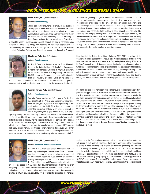### *Vacuum Technology & Coating's Editorial Staff*



#### Abhijit Biswas, Ph.D., *Contributing Editor*

#### *Column:* Nanotechnology

Abhijit is an entrepreneur and a scientist. He has published 100+ papers in international journals and three text books in electrical engineering and holds several patents. He was Associate Professor in Electrical Engineering in the Center for Nano Science and Technology at the University of Notre Dame, Indiana. He has several years of experience

in scientific research initiatives and leading research projects in nanocomposite, materials for sustainable energy and materials for biomedical applications and nanotechnology in various academic settings. He is a member of the editorial board of Particulate Science and Technology Journal and Journal of Advanced

Mechanical Engineering. Abhijit has been on the US National Science Foundation's proposal review panel in engineering and an invited reviewer for research proposals in science and engineering for the Romanian Research Council in Romania and the Technology Foundations in the Netherlands. He has presented numerous invited and keynote talks at national and international meetings in the areas of nanoscience and nanotechnology, and has directed several nanomaterials R&D programs with budgets totaling over \$10 million that have been funded by the Department of Defense and other Federal Agencies in collaborations with university, industry and government lab partners. In addition, Abhijit has been a reviewer and adjudicator of more than 30 international journals in nanotechnology, medicine, biology, physics, chemistry, materials science and engineering. Abhijit co-founded two companies. He can be reached at abbtf@yahoo.com



#### Ilker Bayer, Ph.D., *Contributing Editor*

#### *Column:* Nanotechnology

Dr Ilker S. Bayer is a Researcher at the Smart Materials Group at the Italian Institute of Technology in Genova and a visiting Professor at the University of Virginia, Department of Mechanical and Aerospace Engineering. He obtained his PhD degree on Mechanical and Industrial Engineering from the University of Illinois. Later on he worked as

a post-doctoral researcher at the University of Alaska-Fairbanks on polymer nanocomposites and applications and returned to the Aerospace Engineering

Department at the University of Illinois. Between 2008-2010 he worked at the University of Illinois at Urbana-Champaign as a research assistant professor in the Department of Mechanical and Aerospace Engineering before joining IIT in 2010. Dr Bayer's current research interests include fabrication and characterization of functional polymer nanocomposites, preparation and characterization of biomaterial nanocomposites for antimicrobial applications and drug delivery, processing of novel cellulosic materials, new generation polymer blends and surface modification and functionalization. Dr Bayer advises a number of graduate students and post doctoral colleagues. He has published over 80 research papers and holds several patents.



#### Narendra Parmar, Ph.D., *Contributing Editor*

#### *Column:* Nanotechnology

Narendra Parmar received his Ph.D. degree in Physics from the Department of Physics and Astronomy, Washington State University (WSU), Pullman in 2012 specializing in ZnO semiconductor crystal. In his Ph.D. thesis work carried out under the supervision of Prof. Kelvin Lynn, he worked on defect engineering and p-type doping of ZnO bulk single

crystals grown by melt, hydrothermally as well as chemical vapor transport methods. He gained considerable expertise on post growth thermal processing and doping methods in order to manipulate the electrical behavior and achieve p-type doping of ZnO crystals. He has several years of experience in the design, development and utilization of hardware and software for scanning probe techniques, UHV systems and many complementary spectroscopic characterization techniques. Dr. Parmar continued his work on ZnO as a post-doctoral fellow in the same group at WSU and his recent results could potentially lead to breakthroughs in p-type conduction in ZnO.

Dr. Parmar has also been working on CdTe semiconductor, characterization defects for photovoltaic applications. Dr. Parmar has considerable familiarity with different UHV thin films growth techniques and standard processes involved in crystal growth facility and clean room microfabrication processes. Dr. Parmar has taught several graduate and under graduate level courses in Physics and Material Science and Engineering at WSU. He is also skilled with the practical knowledge of scientific patent drafting. Dr. Parmar's collaborative research has benefited a number of his colleagues with whom he has worked and his research has resulted in numerous publications in world's prestigious peer reviewed scientific journals. He has also given presentaions at national and international scientific conferences. In additioin to research, he is serving as an editorial board member for a scientific journal and has been an invited reviewer for a number of international journals. He has been a contributing editor for the Nanotechnology column in *Vacuum Technology and Coating* magazine for the past couple of years.



#### Abhijit Biswas, Ph.D., *Contributing Editor*

#### *Column:* Photonics and Microelectronics

One goal of VT&C is to keep readers informed on new and advancing technologies. Nanotech and Biotech Columns were introduced several years ago with great success and we also include papers by guest authors on advanced coating. Building on this, we introduce a new Column by Dr. Biswas, Photonics and Microelectronics, which further

www.vtcmag.com

broadens the scope of VT&C. These fast growing technologies form the basis for integrating photonic and microelectronic devices. Microelectronics uses vacuum technology for the microfabrication techniques and processes instrumental in creating bioMEMS devices. BioMEMS offers potential for expanding the horizons

and scope in the fast growing microelectronics-photonics integration sector that will impact a vast array of industries. These novel techniques allow researchers to create a more physiologically relevant environment, promoting new devices for life saving or enhancing applications. Proof-of-concept bioMEMS devices must be tested for the operational reliability for these technologically significant devices. Addressed is the need for simplifying and standardizing BioMEMS tools. The BioMEMS field is growing rapidly, and we anticipate practical applications of BioMEMS devices soon. This keeps VT&C readers aware of new developments in these technologies. We hope you find this new Column informative and stimulating.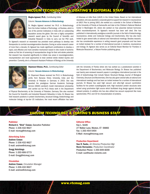### *Vacuum Technology & Coating's Editorial Staff*



#### Megha Agrawal, Ph.D.*, Contributing Editor*

#### *Column:* Vacuum Advances in Biotechnology

Dr. Megha Agrawal received her Ph.D. in Biotechnology from the Indian Institute of Technology at Roorkee, which is one of the premier institutions in India with an outstanding reputation across the globe. She won a highly competitive research award given by the Council of Scientific and Industrial Research in India to carry out her PhD work.

Dr. Agrawal's research on resveratrol has provided novel pathways to develop new therapeutics to combat neurodegenerative disorders. During an active research career of more than a decade, Dr. Agrawal has made significant contributions to develop a rapid, cost effective and more sensitive mechanism based in-vitro model of ischemic stroke as first tier of screening of neuroprotective drugs for their anti-stroke potential. Her research has impacted significantly to initiate new areas in neurodegeneration, neuroprotection and novel approaches to treat cerebral stroke related injuries and prevention. Currently, she is a Research Assistant Professor of Biology at the University

of Arkansas at Little Rock (UALR) in the United States. Based on her international reputation, she was awarded a corporate grant to support her research in neuroscience at UALR. Prior to joining UALR, she worked as a scientist in the School of Medicine at the University of Florida at Gainesville and later at the Children's National Medical Center in Washington DC, where she worked on how placental derived hormones affect neurodevelopment. Dr. Agrawal's research has been well cited. She has published in internationally prestigious scientific journals in the field of biotechnology, neuroscience, stroke and molecular biology and biochemistry. She has also been invited to give several talks at national and international meetings. Besides research, she has considerable experience in writing research grant proposals and has been an invited reviewer for a number of international journals in medicine, neuroscience and biology. Dr. Agrawal also serves as an Editorial Board Member for 'Frontiers in Molecular Bioscience', a Nature-Frontier publishing group.



#### Shyamasri Biswas, Ph.D., C*ontributing Editor*

#### *Column:* Vacuum Advances in Biotechnology

Dr. Shyamasri Biswas received her Ph.D. in Biotechnology jointly from Banaras Hindu University, India and the University of Potsdam in Germany in 2003. She was awarded the prestigious German Academic Exchange Service (DAAD) sandwich model international scholarship and carried out her Ph.D. thesis work in the Department

of Physical Biochemistry at the University of Potsdam, Germany. She also received the Council for Scientific and Industrial Research fellowship in India. Dr. Biswas has held research positions in protein biochemistry, structural biology, biotechnology and molecular biology at top-tier US institutions. Her most recent affiliation has been

with the University of Florida where she has worked as a postdoctoral scientist in the Department of Biochemistry and Molecular Biology. Dr. Biswas has published over twenty peer-reviewed research papers in prestigious international journals in the field of biotechnology that include Nature Structural Biology, Journal of Biological Chemistry, Structure and Biochemistry. She has also given several talks at national and international meetings and has been an invited reviewer for a number of international journals. Dr Biswas has used high vacuum and ultra-high vacuum synchrotron facilities for her protein crystallography work. High resolution protein structures were solved using synchrotron light source which facilitated drug design against clinically relevant proteins. In addition she has also utilized low vacuum equipment like mass spectrometer, FPLC and CD for characterization of proteins.



#### Publisher

Richard A. "Dick" Cowan, Executive Publisher Phone: 1-336-432-9627 E-mail: vtcmag@vtcmag.com

#### Advertising Sales

Andrew Cowan Phone: 1-336-432-9627 E-mail: andrew@vtcmag.com

Gregg Hutchings Phone: 1-203-606-5773 E-mail: Gregg@vtcmag.com

#### **Circulation**

Andrew Cowan, *Circulation Manager* Phone: 1-336-432-9627 E-mail: andrew@vtcmag.com

#### Editorial Office

Kay L. Smith 27 Walker Lane, Weston, CT 06883 Fax: 1-203-454-5454 E-Mail: vtcmag@vtcmag.com

#### Production Department

Sue R. Taube, *Art Director/Production Mgr* Rocio Hernandez, *Production Coordinator* Production Phone: 1-203-849-8200 E-mail: sue@taube-violante.com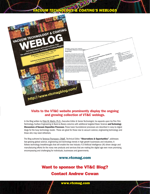# *Vacuum Technology & Coating's weblogs*



### Visits to the VT&C website prominently display the ongoing and growing collection of VT&C weblogs.

In the Blog written by Peter M. Martin, Ph.D., *Executive Editor & Senior Technologist*, he expands upon his Thin Film Technology, Surface Engineering & Back-to-Basics columns with additional targeted Basic Science and Technology Discussions of Vacuum Deposition Processes. These basic foundational processes are described in easy-to-digest blogs for the busy technology reader. These are great for those new to vacuum science, engineering technology and those who may need refreshers.

The Blog authored by Terrence Thompson, CMgfE, *Technical Editor*, "Observations & Opportunities", addresses fast-growing global science, engineering and technology trends in high-growth businesses and industries. It follows technology breakthroughs that will enable the new Industry 4.0 Artificial Intelligence (AI) driven design and manufacturing efforts for the many new products and services that are making the digital age even more promising, encompassing and challenging for individuals, businesses and governments.

### www.vtcmag.com

# Want to sponsor the VT&C Blog? Contact Andrew Cowan

www.vtcmag.com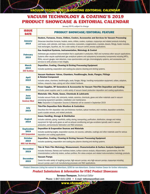*Vacuum Technology & Coating editorial calendar*

### Vacuum Technology & Coating's 2019 Product showcase & Editorial Calendar

January 2019, subject to change

| <b>ISSUE</b><br><b>DATE</b>     | <b>PRODUCT SHOWCASE/EDITORIAL FEATURE</b>                                                                                                                                                                                                                                                                                                                                                                  |  |  |
|---------------------------------|------------------------------------------------------------------------------------------------------------------------------------------------------------------------------------------------------------------------------------------------------------------------------------------------------------------------------------------------------------------------------------------------------------|--|--|
|                                 | Heaters, Furnaces, Ovens, Chillers, Coolers, Accessories and Services for Vacuum Processing                                                                                                                                                                                                                                                                                                                |  |  |
| <b>January</b><br>2019          | Showcase describes furnaces, heaters, ovens, chillers, coolers, cryotraps, cryopumps and related products including<br>cold boxes, cold cabinets, cold traps, connectors, cryocoolers, cryogenerators, cryostats, dewars, fittings, heater modules,<br>heat exchangers, liquefiers, etc. for a wide variety of vacuum-centric process applications.                                                        |  |  |
|                                 | Gas Analytical Systems, Instrumentation, Metrology & Control                                                                                                                                                                                                                                                                                                                                               |  |  |
| <b>February</b><br>2019         | Addresses gas analytical instrumentation that is applicable in production, R&D and numerous other vacuum applications.<br>Systems often require sophisticated gas analytical systems and subsystems/accessories/components including MFCs,<br>RGAs, vacuum gauges, leak detectors, mass spectrometers and gas chromatography systems, and accessories and<br>services to verify process or test integrity. |  |  |
| <b>March</b>                    | Deposition, Coating, Cleaning & Etching Processing Equipment                                                                                                                                                                                                                                                                                                                                               |  |  |
| 2019<br><b>SVC TechCon</b>      | Includes sputtering, evaporation and coating plus plasma cleaning and etching systems.                                                                                                                                                                                                                                                                                                                     |  |  |
| <b>April</b><br>2019            | Vacuum Hardware: Valves, Chambers, Feedthroughs, Seals, Flanges, Fittings<br>& Related Component                                                                                                                                                                                                                                                                                                           |  |  |
|                                 | Includes valves, chambers, feedthroughs, seals, flanges, fittings, handling-manipulation equipment, collars, adaptors,<br>bellows, viewports, traps, piping and other related hardware.                                                                                                                                                                                                                    |  |  |
| <b>May</b>                      | Power Supplies, RF Generators & Accessories for Vacuum Thin-Film Deposition and Coating                                                                                                                                                                                                                                                                                                                    |  |  |
| 2019                            | Includes power supplies used in a wide variety of vacuum-based production deposition and coating applications.                                                                                                                                                                                                                                                                                             |  |  |
| <b>June</b>                     | <b>Materials: Oils, Fluids, Gases, Chemicals &amp; Lubricants</b>                                                                                                                                                                                                                                                                                                                                          |  |  |
| 2019<br><b>Semicon West</b>     | Includes vacuum fluids, oils, lubricants, metals, ceramics, chemicals, gases and other materials used in vacuum<br>processing equipment operation, installation and maintenance.<br><b>Note:</b> Deposition & Evaporation Sources & Materials will be covered in September 2019                                                                                                                            |  |  |
|                                 | <b>Thin-Film Deposition Rate Monitors &amp; Controllers</b>                                                                                                                                                                                                                                                                                                                                                |  |  |
| <b>July</b><br>2019             | Describes thin-film deposition rate and thickness monitors, optical monitors, etch monitors, deposition controllers,<br>quartz crystals sensors, and related products.                                                                                                                                                                                                                                     |  |  |
|                                 | <b>Gases Handling, Storage &amp; Distribution</b>                                                                                                                                                                                                                                                                                                                                                          |  |  |
| <b>August</b><br>2019           | Includes cabinets, piping, manifolds, safety, storing, transporting, purification, distribution, storage and mixing<br>equipment for high-purity gases as well as exhaust conditioning and gas scrubbers typically used in vacuum<br>production, semiconductor fabrication and R&D processes.                                                                                                              |  |  |
| <b>September</b>                | <b>Deposition &amp; Evaporation Sources and Materials</b>                                                                                                                                                                                                                                                                                                                                                  |  |  |
| 2019<br><b>AVS Symposium</b>    | Includes sputtering targets, evaporation sources, ion sources, cathodes, coatings and other materials used for various<br>deposition and coating applications.                                                                                                                                                                                                                                             |  |  |
| <b>October</b>                  | Deposition, Coating, Cleaning & Etching Vacuum Processing Equipment                                                                                                                                                                                                                                                                                                                                        |  |  |
| 2019<br><b>MRS Fall Meeting</b> | Includes sputtering, evaporation and coating plus plasma cleaning and etching systems.                                                                                                                                                                                                                                                                                                                     |  |  |
| <b>November</b>                 | Thin & Thick Film Metrology, Measurement, Characterization & Surface Analysis Equipment                                                                                                                                                                                                                                                                                                                    |  |  |
| 2019                            | Includes thickness, flatness and hardness testers, surface science analysis, ellipsometers, spectrometers, thin film<br>characterization/uniformity testers, surface profilers, film stress analysis and related instrumentation/metrology products.                                                                                                                                                       |  |  |
| <b>December</b><br>2019         | <b>Vacuum Pumps</b>                                                                                                                                                                                                                                                                                                                                                                                        |  |  |
|                                 | Covers the wide variety of roughing pumps, high-vacuum pumps, very-high-vacuum pumps, cryopumps including<br>vacuum pumps used in all manufacturing processes and R&D applications.                                                                                                                                                                                                                        |  |  |

*Product Showcase Listing fee waived for Advertisers, \$295 for non-Advertisers. Contact Andrew Cowan for further information.*

#### *Product Submissions & Information for VT&C Product Showcases*

Terrence Thompson, *Technical Editor*

Phone: 1-847-515-1255 • E-mail: tethompson@aol.com

www.vtcmag.co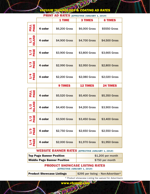### *Vacuum Technology & Coating ad Rates*

|                       | r min i<br>AD RAILS (EFFECTIVE JANUARY 1, 2019) |                |                      |                      |  |  |
|-----------------------|-------------------------------------------------|----------------|----------------------|----------------------|--|--|
|                       |                                                 | <b>1 TIME</b>  | <b>3 TIMES</b>       | <b>6 TIMES</b>       |  |  |
| <b>FULL</b><br>PAGE   | 4 color                                         | \$6,200 Gross  | \$6,000 Gross        | \$5550 Gross         |  |  |
| 1/2<br><b>ISLAND</b>  | 4 color                                         | \$4,900 Gross  | \$4,700 Gross        | \$4,500 Gross        |  |  |
| $\frac{1}{2}$<br>PAGE | 4 color                                         | \$3,900 Gross  | \$3,800 Gross        | \$3,665 Gross        |  |  |
| $\frac{1}{3}$         | 4 color                                         | \$2,990 Gross  | \$2,950 Gross        | \$2,800 Gross        |  |  |
| $\frac{1}{4}$         | 4 color                                         | \$2,200 Gross  | \$2,080 Gross        | \$2,020 Gross        |  |  |
|                       |                                                 | <b>9 TIMES</b> | <b>12 TIMES</b>      | <b>24 TIMES</b>      |  |  |
| <b>FULL</b>           | 4 color                                         | \$5,520 Gross  | <b>\$5,400 Gross</b> | <b>\$5,350 Gross</b> |  |  |
| $\frac{1}{2}$         | 4 color                                         | \$4,400 Gross  | \$4,200 Gross        | \$3,900 Gross        |  |  |
| $\frac{1}{2}$<br>PAGE | 4 color                                         | \$3,500 Gross  | \$3,450 Gross        | <b>\$3,400 Gross</b> |  |  |
| $\frac{1}{3}$         | 4 color                                         | \$2,750 Gross  | \$2,650 Gross        | \$2,550 Gross        |  |  |
| $\frac{1}{4}$<br>PAGE | 4 color                                         | \$2,000 Gross  | \$1,970 Gross        | \$1,950 Gross        |  |  |

### **PRINT AD RATES** (ECCEPTIVE IANIIADV 1, 2019)

### WEBSITE BANNER RATES (EFFECTIVE JANUARY 1, 2019)

| <b>Top Page Banner Position</b>    | $$1,200$ per month |
|------------------------------------|--------------------|
| <b>Middle Page Banner Position</b> | \$750 per month    |

#### product showcase listing rates (effective January 1, 2019)

**Product Showcase Listings**  $$295$  per listing - Non-Advertiser\*

www.vtcmag.com *\* Product showcase Listing fee waived for Advertisers*